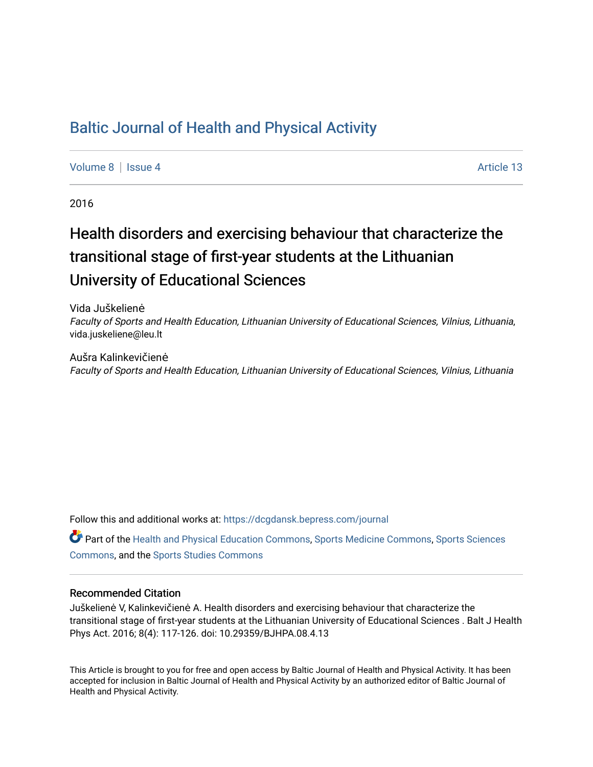## [Baltic Journal of Health and Physical Activity](https://dcgdansk.bepress.com/journal)

[Volume 8](https://dcgdansk.bepress.com/journal/vol8) | [Issue 4](https://dcgdansk.bepress.com/journal/vol8/iss4) Article 13

2016

# Health disorders and exercising behaviour that characterize the transitional stage of first-year students at the Lithuanian University of Educational Sciences

Vida Juškelienė Faculty of Sports and Health Education, Lithuanian University of Educational Sciences, Vilnius, Lithuania, vida.juskeliene@leu.lt

Aušra Kalinkevičienė Faculty of Sports and Health Education, Lithuanian University of Educational Sciences, Vilnius, Lithuania

Follow this and additional works at: [https://dcgdansk.bepress.com/journal](https://dcgdansk.bepress.com/journal?utm_source=dcgdansk.bepress.com%2Fjournal%2Fvol8%2Fiss4%2F13&utm_medium=PDF&utm_campaign=PDFCoverPages)

Part of the [Health and Physical Education Commons](http://network.bepress.com/hgg/discipline/1327?utm_source=dcgdansk.bepress.com%2Fjournal%2Fvol8%2Fiss4%2F13&utm_medium=PDF&utm_campaign=PDFCoverPages), [Sports Medicine Commons,](http://network.bepress.com/hgg/discipline/1331?utm_source=dcgdansk.bepress.com%2Fjournal%2Fvol8%2Fiss4%2F13&utm_medium=PDF&utm_campaign=PDFCoverPages) [Sports Sciences](http://network.bepress.com/hgg/discipline/759?utm_source=dcgdansk.bepress.com%2Fjournal%2Fvol8%2Fiss4%2F13&utm_medium=PDF&utm_campaign=PDFCoverPages) [Commons](http://network.bepress.com/hgg/discipline/759?utm_source=dcgdansk.bepress.com%2Fjournal%2Fvol8%2Fiss4%2F13&utm_medium=PDF&utm_campaign=PDFCoverPages), and the [Sports Studies Commons](http://network.bepress.com/hgg/discipline/1198?utm_source=dcgdansk.bepress.com%2Fjournal%2Fvol8%2Fiss4%2F13&utm_medium=PDF&utm_campaign=PDFCoverPages) 

#### Recommended Citation

Juškelienė V, Kalinkevičienė A. Health disorders and exercising behaviour that characterize the transitional stage of first-year students at the Lithuanian University of Educational Sciences . Balt J Health Phys Act. 2016; 8(4): 117-126. doi: 10.29359/BJHPA.08.4.13

This Article is brought to you for free and open access by Baltic Journal of Health and Physical Activity. It has been accepted for inclusion in Baltic Journal of Health and Physical Activity by an authorized editor of Baltic Journal of Health and Physical Activity.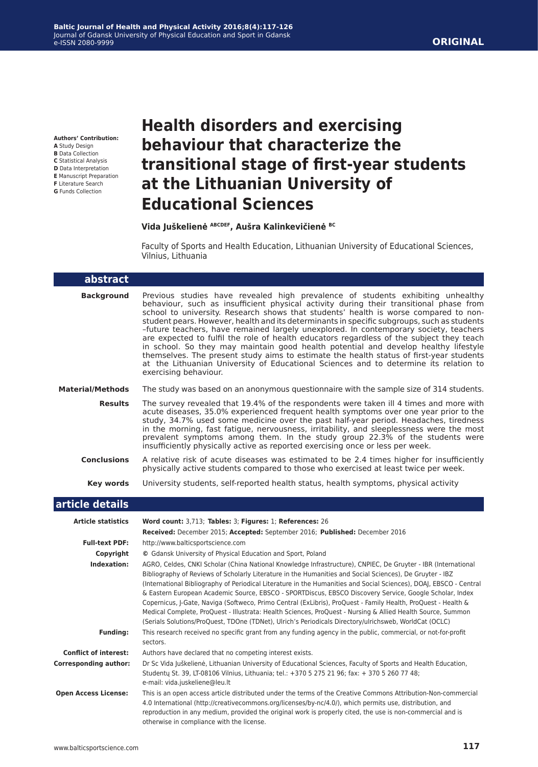**Authors' Contribution: A** Study Design

- **B** Data Collection
- **C** Statistical Analysis
- **D** Data Interpretation
- **E** Manuscript Preparation **F** Literature Search
- **G** Funds Collection

## **Health disorders and exercising behaviour that characterize the transitional stage of first-year students at the Lithuanian University of Educational Sciences**

#### **Vida Juškelienė ABCDEF, Aušra Kalinkevičienė BC**

Faculty of Sports and Health Education, Lithuanian University of Educational Sciences, Vilnius, Lithuania

| abstract                     |                                                                                                                                                                                                                                                                                                                                                                                                                                                                                                                                                                                                                                                                                                                                                                                                                                                           |
|------------------------------|-----------------------------------------------------------------------------------------------------------------------------------------------------------------------------------------------------------------------------------------------------------------------------------------------------------------------------------------------------------------------------------------------------------------------------------------------------------------------------------------------------------------------------------------------------------------------------------------------------------------------------------------------------------------------------------------------------------------------------------------------------------------------------------------------------------------------------------------------------------|
| <b>Background</b>            | Previous studies have revealed high prevalence of students exhibiting unhealthy<br>behaviour, such as insufficient physical activity during their transitional phase from<br>school to university. Research shows that students' health is worse compared to non-<br>student pears. However, health and its determinants in specific subgroups, such as students<br>-future teachers, have remained largely unexplored. In contemporary society, teachers<br>are expected to fulfil the role of health educators regardless of the subject they teach<br>in school. So they may maintain good health potential and develop healthy lifestyle<br>themselves. The present study aims to estimate the health status of first-year students<br>at the Lithuanian University of Educational Sciences and to determine its relation to<br>exercising behaviour. |
| <b>Material/Methods</b>      | The study was based on an anonymous questionnaire with the sample size of 314 students.                                                                                                                                                                                                                                                                                                                                                                                                                                                                                                                                                                                                                                                                                                                                                                   |
| <b>Results</b>               | The survey revealed that 19.4% of the respondents were taken ill 4 times and more with<br>acute diseases, 35.0% experienced frequent health symptoms over one year prior to the<br>study, 34.7% used some medicine over the past half-year period. Headaches, tiredness<br>in the morning, fast fatigue, nervousness, irritability, and sleeplessness were the most<br>prevalent symptoms among them. In the study group 22.3% of the students were<br>insufficiently physically active as reported exercising once or less per week.                                                                                                                                                                                                                                                                                                                     |
| <b>Conclusions</b>           | A relative risk of acute diseases was estimated to be 2.4 times higher for insufficiently<br>physically active students compared to those who exercised at least twice per week.                                                                                                                                                                                                                                                                                                                                                                                                                                                                                                                                                                                                                                                                          |
| Key words                    | University students, self-reported health status, health symptoms, physical activity                                                                                                                                                                                                                                                                                                                                                                                                                                                                                                                                                                                                                                                                                                                                                                      |
| article details              |                                                                                                                                                                                                                                                                                                                                                                                                                                                                                                                                                                                                                                                                                                                                                                                                                                                           |
| <b>Article statistics</b>    | Word count: 3,713; Tables: 3; Figures: 1; References: 26                                                                                                                                                                                                                                                                                                                                                                                                                                                                                                                                                                                                                                                                                                                                                                                                  |
|                              | Received: December 2015; Accepted: September 2016; Published: December 2016                                                                                                                                                                                                                                                                                                                                                                                                                                                                                                                                                                                                                                                                                                                                                                               |
| <b>Full-text PDF:</b>        | http://www.balticsportscience.com                                                                                                                                                                                                                                                                                                                                                                                                                                                                                                                                                                                                                                                                                                                                                                                                                         |
| Copyright                    | © Gdansk University of Physical Education and Sport, Poland                                                                                                                                                                                                                                                                                                                                                                                                                                                                                                                                                                                                                                                                                                                                                                                               |
| Indexation:                  | AGRO, Celdes, CNKI Scholar (China National Knowledge Infrastructure), CNPIEC, De Gruyter - IBR (International<br>Bibliography of Reviews of Scholarly Literature in the Humanities and Social Sciences), De Gruyter - IBZ<br>(International Bibliography of Periodical Literature in the Humanities and Social Sciences), DOAJ, EBSCO - Central<br>& Eastern European Academic Source, EBSCO - SPORTDiscus, EBSCO Discovery Service, Google Scholar, Index<br>Copernicus, J-Gate, Naviga (Softweco, Primo Central (ExLibris), ProQuest - Family Health, ProQuest - Health &<br>Medical Complete, ProQuest - Illustrata: Health Sciences, ProQuest - Nursing & Allied Health Source, Summon<br>(Serials Solutions/ProQuest, TDOne (TDNet), Ulrich's Periodicals Directory/ulrichsweb, WorldCat (OCLC)                                                      |
| <b>Funding:</b>              | This research received no specific grant from any funding agency in the public, commercial, or not-for-profit<br>sectors.                                                                                                                                                                                                                                                                                                                                                                                                                                                                                                                                                                                                                                                                                                                                 |
| <b>Conflict of interest:</b> | Authors have declared that no competing interest exists.                                                                                                                                                                                                                                                                                                                                                                                                                                                                                                                                                                                                                                                                                                                                                                                                  |
| <b>Corresponding author:</b> | Dr Sc Vida Juškelienė, Lithuanian University of Educational Sciences, Faculty of Sports and Health Education,<br>Studenty St. 39, LT-08106 Vilnius, Lithuania; tel.: +370 5 275 21 96; fax: + 370 5 260 77 48;<br>e-mail: vida.juskeliene@leu.lt                                                                                                                                                                                                                                                                                                                                                                                                                                                                                                                                                                                                          |
| <b>Open Access License:</b>  | This is an open access article distributed under the terms of the Creative Commons Attribution-Non-commercial<br>4.0 International (http://creativecommons.org/licenses/by-nc/4.0/), which permits use, distribution, and<br>reproduction in any medium, provided the original work is properly cited, the use is non-commercial and is<br>otherwise in compliance with the license.                                                                                                                                                                                                                                                                                                                                                                                                                                                                      |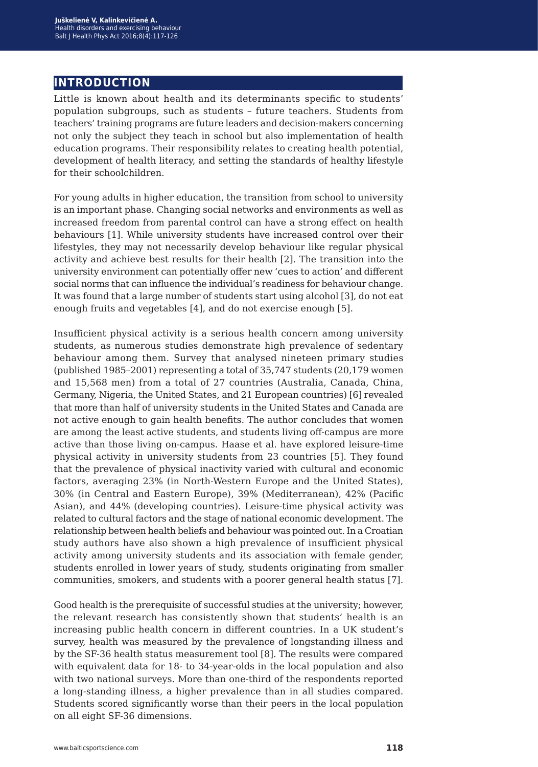## **introduction**

Little is known about health and its determinants specific to students' population subgroups, such as students – future teachers. Students from teachers' training programs are future leaders and decision-makers concerning not only the subject they teach in school but also implementation of health education programs. Their responsibility relates to creating health potential, development of health literacy, and setting the standards of healthy lifestyle for their schoolchildren.

For young adults in higher education, the transition from school to university is an important phase. Changing social networks and environments as well as increased freedom from parental control can have a strong effect on health behaviours [1]. While university students have increased control over their lifestyles, they may not necessarily develop behaviour like regular physical activity and achieve best results for their health [2]. The transition into the university environment can potentially offer new 'cues to action' and different social norms that can influence the individual's readiness for behaviour change. It was found that a large number of students start using alcohol [3], do not eat enough fruits and vegetables [4], and do not exercise enough [5].

Insufficient physical activity is a serious health concern among university students, as numerous studies demonstrate high prevalence of sedentary behaviour among them. Survey that analysed nineteen primary studies (published 1985–2001) representing a total of 35,747 students (20,179 women and 15,568 men) from a total of 27 countries (Australia, Canada, China, Germany, Nigeria, the United States, and 21 European countries) [6] revealed that more than half of university students in the United States and Canada are not active enough to gain health benefits. The author concludes that women are among the least active students, and students living off-campus are more active than those living on-campus. Haase et al. have explored leisure-time physical activity in university students from 23 countries [5]. They found that the prevalence of physical inactivity varied with cultural and economic factors, averaging 23% (in North-Western Europe and the United States), 30% (in Central and Eastern Europe), 39% (Mediterranean), 42% (Pacific Asian), and 44% (developing countries). Leisure-time physical activity was related to cultural factors and the stage of national economic development. The relationship between health beliefs and behaviour was pointed out. In a Croatian study authors have also shown a high prevalence of insufficient physical activity among university students and its association with female gender, students enrolled in lower years of study, students originating from smaller communities, smokers, and students with a poorer general health status [7].

Good health is the prerequisite of successful studies at the university; however, the relevant research has consistently shown that students' health is an increasing public health concern in different countries. In a UK student's survey, health was measured by the prevalence of longstanding illness and by the SF-36 health status measurement tool [8]. The results were compared with equivalent data for 18- to 34-year-olds in the local population and also with two national surveys. More than one-third of the respondents reported a long-standing illness, a higher prevalence than in all studies compared. Students scored significantly worse than their peers in the local population on all eight SF-36 dimensions.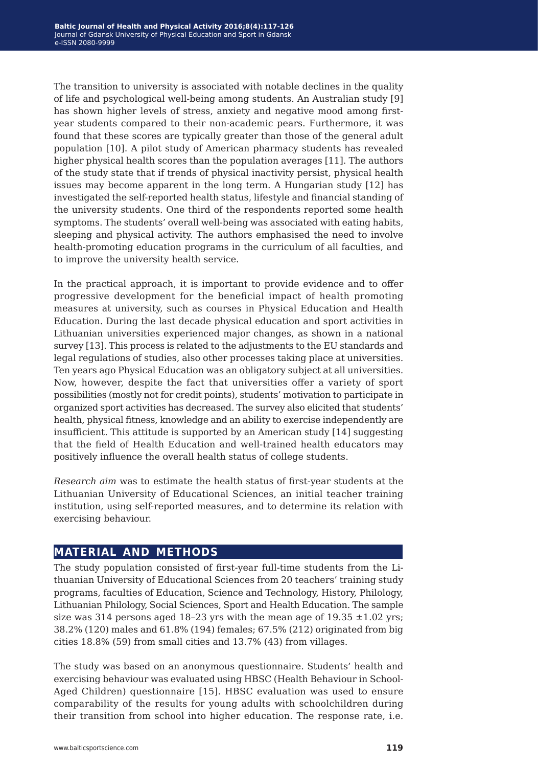The transition to university is associated with notable declines in the quality of life and psychological well-being among students. An Australian study [9] has shown higher levels of stress, anxiety and negative mood among firstyear students compared to their non-academic pears. Furthermore, it was found that these scores are typically greater than those of the general adult population [10]. A pilot study of American pharmacy students has revealed higher physical health scores than the population averages [11]. The authors of the study state that if trends of physical inactivity persist, physical health issues may become apparent in the long term. A Hungarian study [12] has investigated the self-reported health status, lifestyle and financial standing of the university students. One third of the respondents reported some health symptoms. The students' overall well-being was associated with eating habits, sleeping and physical activity. The authors emphasised the need to involve health-promoting education programs in the curriculum of all faculties, and to improve the university health service.

In the practical approach, it is important to provide evidence and to offer progressive development for the beneficial impact of health promoting measures at university, such as courses in Physical Education and Health Education. During the last decade physical education and sport activities in Lithuanian universities experienced major changes, as shown in a national survey [13]. This process is related to the adjustments to the EU standards and legal regulations of studies, also other processes taking place at universities. Ten years ago Physical Education was an obligatory subject at all universities. Now, however, despite the fact that universities offer a variety of sport possibilities (mostly not for credit points), students' motivation to participate in organized sport activities has decreased. The survey also elicited that students' health, physical fitness, knowledge and an ability to exercise independently are insufficient. This attitude is supported by an American study [14] suggesting that the field of Health Education and well-trained health educators may positively influence the overall health status of college students.

*Research aim* was to estimate the health status of first-year students at the Lithuanian University of Educational Sciences, an initial teacher training institution, using self-reported measures, and to determine its relation with exercising behaviour.

## **material and methods**

The study population consisted of first-year full-time students from the Lithuanian University of Educational Sciences from 20 teachers' training study programs, faculties of Education, Science and Technology, History, Philology, Lithuanian Philology, Social Sciences, Sport and Health Education. The sample size was 314 persons aged 18-23 yrs with the mean age of  $19.35 \pm 1.02$  yrs; 38.2% (120) males and 61.8% (194) females; 67.5% (212) originated from big cities 18.8% (59) from small cities and 13.7% (43) from villages.

The study was based on an anonymous questionnaire. Students' health and exercising behaviour was evaluated using HBSC (Health Behaviour in School-Aged Children) questionnaire [15]. HBSC evaluation was used to ensure comparability of the results for young adults with schoolchildren during their transition from school into higher education. The response rate, i.e.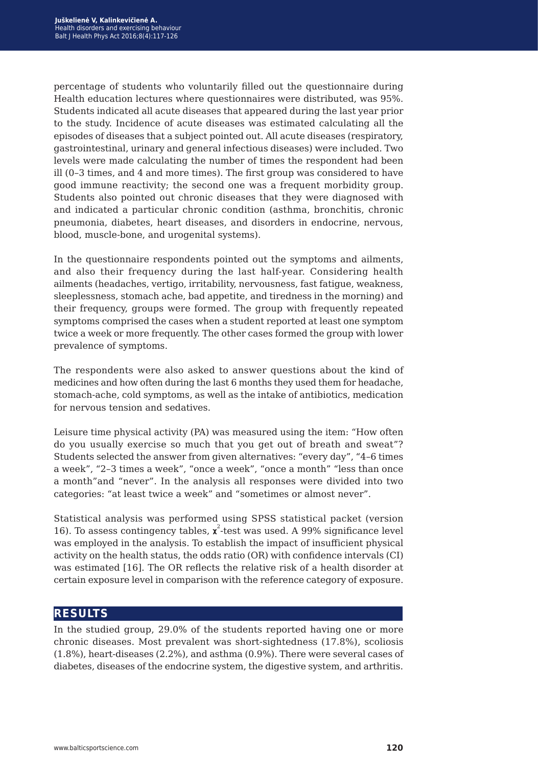percentage of students who voluntarily filled out the questionnaire during Health education lectures where questionnaires were distributed, was 95%. Students indicated all acute diseases that appeared during the last year prior to the study. Incidence of acute diseases was estimated calculating all the episodes of diseases that a subject pointed out. All acute diseases (respiratory, gastrointestinal, urinary and general infectious diseases) were included. Two levels were made calculating the number of times the respondent had been ill (0–3 times, and 4 and more times). The first group was considered to have good immune reactivity; the second one was a frequent morbidity group. Students also pointed out chronic diseases that they were diagnosed with and indicated a particular chronic condition (asthma, bronchitis, chronic pneumonia, diabetes, heart diseases, and disorders in endocrine, nervous, blood, muscle-bone, and urogenital systems).

In the questionnaire respondents pointed out the symptoms and ailments, and also their frequency during the last half-year. Considering health ailments (headaches, vertigo, irritability, nervousness, fast fatigue, weakness, sleeplessness, stomach ache, bad appetite, and tiredness in the morning) and their frequency, groups were formed. The group with frequently repeated symptoms comprised the cases when a student reported at least one symptom twice a week or more frequently. The other cases formed the group with lower prevalence of symptoms.

The respondents were also asked to answer questions about the kind of medicines and how often during the last 6 months they used them for headache, stomach-ache, cold symptoms, as well as the intake of antibiotics, medication for nervous tension and sedatives.

Leisure time physical activity (PA) was measured using the item: "How often do you usually exercise so much that you get out of breath and sweat"? Students selected the answer from given alternatives: "every day", "4–6 times a week", "2–3 times a week", "once a week", "once a month" "less than once a month"and "never". In the analysis all responses were divided into two categories: "at least twice a week" and "sometimes or almost never".

Statistical analysis was performed using SPSS statistical packet (version 16). To assess contingency tables,  $\mathbf{x}^2$ -test was used. A 99% significance level was employed in the analysis. To establish the impact of insufficient physical activity on the health status, the odds ratio (OR) with confidence intervals (CI) was estimated [16]. The OR reflects the relative risk of a health disorder at certain exposure level in comparison with the reference category of exposure.

### **results**

In the studied group, 29.0% of the students reported having one or more chronic diseases. Most prevalent was short-sightedness (17.8%), scoliosis (1.8%), heart-diseases (2.2%), and asthma (0.9%). There were several cases of diabetes, diseases of the endocrine system, the digestive system, and arthritis.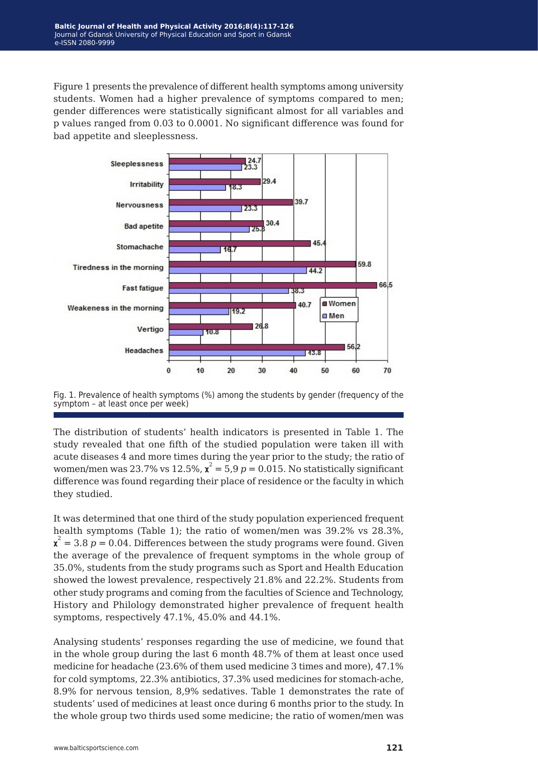Figure 1 presents the prevalence of different health symptoms among university students. Women had a higher prevalence of symptoms compared to men; gender differences were statistically significant almost for all variables and p values ranged from 0.03 to 0.0001. No significant difference was found for bad appetite and sleeplessness.



Fig. 1. Prevalence of health symptoms (%) among the students by gender (frequency of the symptom – at least once per week)

The distribution of students' health indicators is presented in Table 1. The study revealed that one fifth of the studied population were taken ill with acute diseases 4 and more times during the year prior to the study; the ratio of women/men was 23.7% vs 12.5%,  $\mathbf{x}^2 = 5.9$   $p = 0.015$ . No statistically significant difference was found regarding their place of residence or the faculty in which they studied.

It was determined that one third of the study population experienced frequent health symptoms (Table 1); the ratio of women/men was 39.2% vs 28.3%,  $\mathbf{x}^2 = 3.8 \ p = 0.04$ . Differences between the study programs were found. Given the average of the prevalence of frequent symptoms in the whole group of 35.0%, students from the study programs such as Sport and Health Education showed the lowest prevalence, respectively 21.8% and 22.2%. Students from other study programs and coming from the faculties of Science and Technology, History and Philology demonstrated higher prevalence of frequent health symptoms, respectively 47.1%, 45.0% and 44.1%.

Analysing students' responses regarding the use of medicine, we found that in the whole group during the last 6 month 48.7% of them at least once used medicine for headache (23.6% of them used medicine 3 times and more), 47.1% for cold symptoms, 22.3% antibiotics, 37.3% used medicines for stomach-ache, 8.9% for nervous tension, 8,9% sedatives. Table 1 demonstrates the rate of students' used of medicines at least once during 6 months prior to the study. In the whole group two thirds used some medicine; the ratio of women/men was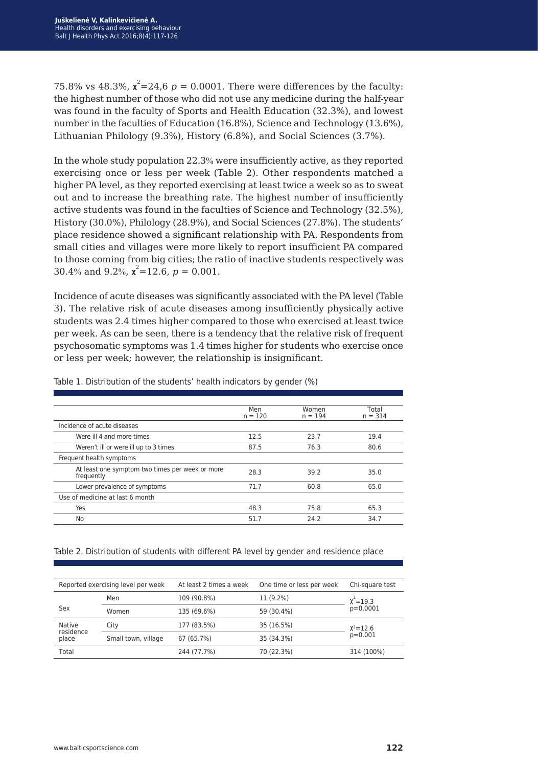75.8% vs 48.3%,  $\mathbf{x}^2 = 24.6 \ p = 0.0001$ . There were differences by the faculty: the highest number of those who did not use any medicine during the half-year was found in the faculty of Sports and Health Education (32.3%), and lowest number in the faculties of Education (16.8%), Science and Technology (13.6%), Lithuanian Philology (9.3%), History (6.8%), and Social Sciences (3.7%).

In the whole study population 22.3% were insufficiently active, as they reported exercising once or less per week (Table 2). Other respondents matched a higher PA level, as they reported exercising at least twice a week so as to sweat out and to increase the breathing rate. The highest number of insufficiently active students was found in the faculties of Science and Technology (32.5%), History (30.0%), Philology (28.9%), and Social Sciences (27.8%). The students' place residence showed a significant relationship with PA. Respondents from small cities and villages were more likely to report insufficient PA compared to those coming from big cities; the ratio of inactive students respectively was 30.4% and 9.2%,  $\chi^2$ =12.6,  $p = 0.001$ .

Incidence of acute diseases was significantly associated with the PA level (Table 3). The relative risk of acute diseases among insufficiently physically active students was 2.4 times higher compared to those who exercised at least twice per week. As can be seen, there is a tendency that the relative risk of frequent psychosomatic symptoms was 1.4 times higher for students who exercise once or less per week; however, the relationship is insignificant.

|                                                               | Men<br>$n = 120$ | Women<br>$n = 194$ | Total<br>$n = 314$ |
|---------------------------------------------------------------|------------------|--------------------|--------------------|
| Incidence of acute diseases                                   |                  |                    |                    |
| Were ill 4 and more times                                     | 12.5             | 23.7               | 19.4               |
| Weren't ill or were ill up to 3 times                         | 87.5             | 76.3               | 80.6               |
| Frequent health symptoms                                      |                  |                    |                    |
| At least one symptom two times per week or more<br>frequently | 28.3             | 39.2               | 35.0               |
| Lower prevalence of symptoms                                  | 71.7             | 60.8               | 65.0               |
| Use of medicine at last 6 month                               |                  |                    |                    |
| Yes                                                           | 48.3             | 75.8               | 65.3               |
| No                                                            | 51.7             | 24.2               | 34.7               |

Table 1. Distribution of the students' health indicators by gender (%)

#### Table 2. Distribution of students with different PA level by gender and residence place

| Reported exercising level per week |                     | At least 2 times a week | One time or less per week | Chi-square test |  |
|------------------------------------|---------------------|-------------------------|---------------------------|-----------------|--|
|                                    | Men                 | 109 (90.8%)             | 11 (9.2%)                 | $\chi^2$ = 19.3 |  |
| Sex                                | Women               | 135 (69.6%)             | 59 (30.4%)                | $p=0.0001$      |  |
| Native<br>residence                | City                | 177 (83.5%)             | 35 (16.5%)                | $X^2 = 12.6$    |  |
| place                              | Small town, village | 67 (65.7%)              | 35 (34.3%)                | $p=0.001$       |  |
| Total                              |                     | 244 (77.7%)             | 70 (22.3%)                | 314 (100%)      |  |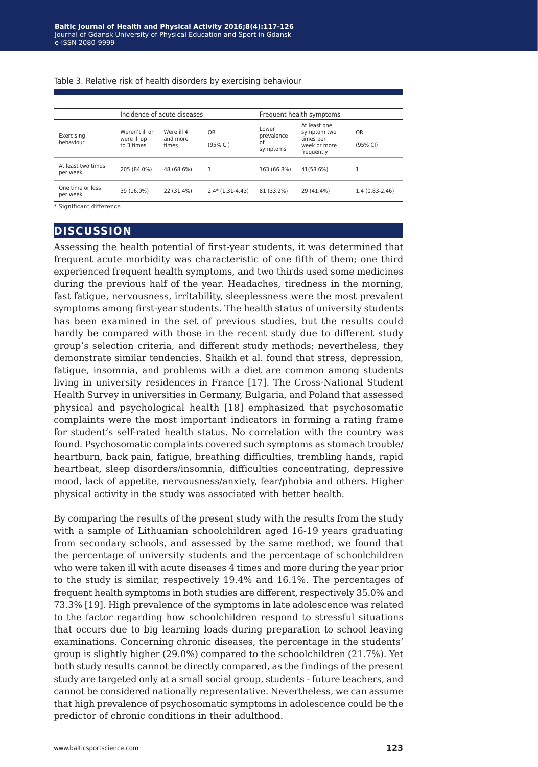| Exercising<br>behaviour        | Incidence of acute diseases                 |                                 |                            | Frequent health symptoms              |                                                                        |                       |
|--------------------------------|---------------------------------------------|---------------------------------|----------------------------|---------------------------------------|------------------------------------------------------------------------|-----------------------|
|                                | Weren't ill or<br>were ill up<br>to 3 times | Were ill 4<br>and more<br>times | 0 <sub>R</sub><br>(95% CI) | Lower<br>prevalence<br>of<br>symptoms | At least one<br>symptom two<br>times per<br>week or more<br>frequently | <b>OR</b><br>(95% CI) |
| At least two times<br>per week | 205 (84.0%)                                 | 48 (68.6%)                      | 1                          | 163 (66.8%)                           | 41(58.6%)                                                              |                       |
| One time or less<br>per week   | 39 (16.0%)                                  | 22 (31.4%)                      | $2.4*$ (1.31-4.43)         | 81 (33.2%)                            | 29 (41.4%)                                                             | 1.4 (0.83-2.46)       |

Table 3. Relative risk of health disorders by exercising behaviour

### **discussion**

Assessing the health potential of first-year students, it was determined that frequent acute morbidity was characteristic of one fifth of them; one third experienced frequent health symptoms, and two thirds used some medicines during the previous half of the year. Headaches, tiredness in the morning, fast fatigue, nervousness, irritability, sleeplessness were the most prevalent symptoms among first-year students. The health status of university students has been examined in the set of previous studies, but the results could hardly be compared with those in the recent study due to different study group's selection criteria, and different study methods; nevertheless, they demonstrate similar tendencies. Shaikh et al. found that stress, depression, fatigue, insomnia, and problems with a diet are common among students living in university residences in France [17]. The Cross-National Student Health Survey in universities in Germany, Bulgaria, and Poland that assessed physical and psychological health [18] emphasized that psychosomatic complaints were the most important indicators in forming a rating frame for student's self-rated health status. No correlation with the country was found. Psychosomatic complaints covered such symptoms as stomach trouble/ heartburn, back pain, fatigue, breathing difficulties, trembling hands, rapid heartbeat, sleep disorders/insomnia, difficulties concentrating, depressive mood, lack of appetite, nervousness/anxiety, fear/phobia and others. Higher physical activity in the study was associated with better health.

By comparing the results of the present study with the results from the study with a sample of Lithuanian schoolchildren aged 16-19 years graduating from secondary schools, and assessed by the same method, we found that the percentage of university students and the percentage of schoolchildren who were taken ill with acute diseases 4 times and more during the year prior to the study is similar, respectively 19.4% and 16.1%. The percentages of frequent health symptoms in both studies are different, respectively 35.0% and 73.3% [19]. High prevalence of the symptoms in late adolescence was related to the factor regarding how schoolchildren respond to stressful situations that occurs due to big learning loads during preparation to school leaving examinations. Concerning chronic diseases, the percentage in the students' group is slightly higher (29.0%) compared to the schoolchildren (21.7%). Yet both study results cannot be directly compared, as the findings of the present study are targeted only at a small social group, students - future teachers, and cannot be considered nationally representative. Nevertheless, we can assume that high prevalence of psychosomatic symptoms in adolescence could be the predictor of chronic conditions in their adulthood.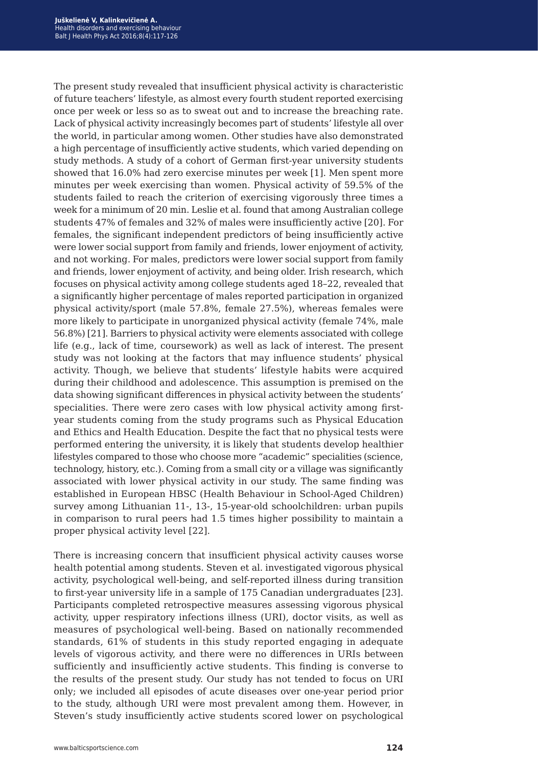The present study revealed that insufficient physical activity is characteristic of future teachers' lifestyle, as almost every fourth student reported exercising once per week or less so as to sweat out and to increase the breaching rate. Lack of physical activity increasingly becomes part of students' lifestyle all over the world, in particular among women. Other studies have also demonstrated a high percentage of insufficiently active students, which varied depending on study methods. A study of a cohort of German first-year university students showed that 16.0% had zero exercise minutes per week [1]. Men spent more minutes per week exercising than women. Physical activity of 59.5% of the students failed to reach the criterion of exercising vigorously three times a week for a minimum of 20 min. Leslie et al. found that among Australian college students 47% of females and 32% of males were insufficiently active [20]. For females, the significant independent predictors of being insufficiently active were lower social support from family and friends, lower enjoyment of activity, and not working. For males, predictors were lower social support from family and friends, lower enjoyment of activity, and being older. Irish research, which focuses on physical activity among college students aged 18–22, revealed that a significantly higher percentage of males reported participation in organized physical activity/sport (male 57.8%, female 27.5%), whereas females were more likely to participate in unorganized physical activity (female 74%, male 56.8%) [21]. Barriers to physical activity were elements associated with college life (e.g., lack of time, coursework) as well as lack of interest. The present study was not looking at the factors that may influence students' physical activity. Though, we believe that students' lifestyle habits were acquired during their childhood and adolescence. This assumption is premised on the data showing significant differences in physical activity between the students' specialities. There were zero cases with low physical activity among firstyear students coming from the study programs such as Physical Education and Ethics and Health Education. Despite the fact that no physical tests were performed entering the university, it is likely that students develop healthier lifestyles compared to those who choose more "academic" specialities (science, technology, history, etc.). Coming from a small city or a village was significantly associated with lower physical activity in our study. The same finding was established in European HBSC (Health Behaviour in School-Aged Children) survey among Lithuanian 11-, 13-, 15-year-old schoolchildren: urban pupils in comparison to rural peers had 1.5 times higher possibility to maintain a proper physical activity level [22].

There is increasing concern that insufficient physical activity causes worse health potential among students. Steven et al. investigated vigorous physical activity, psychological well-being, and self-reported illness during transition to first-year university life in a sample of 175 Canadian undergraduates [23]. Participants completed retrospective measures assessing vigorous physical activity, upper respiratory infections illness (URI), doctor visits, as well as measures of psychological well-being. Based on nationally recommended standards, 61% of students in this study reported engaging in adequate levels of vigorous activity, and there were no differences in URIs between sufficiently and insufficiently active students. This finding is converse to the results of the present study. Our study has not tended to focus on URI only; we included all episodes of acute diseases over one-year period prior to the study, although URI were most prevalent among them. However, in Steven's study insufficiently active students scored lower on psychological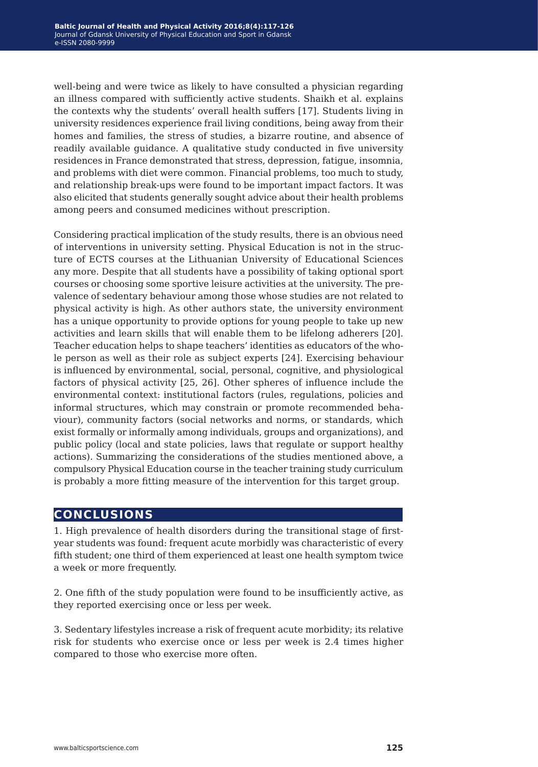well-being and were twice as likely to have consulted a physician regarding an illness compared with sufficiently active students. Shaikh et al. explains the contexts why the students' overall health suffers [17]. Students living in university residences experience frail living conditions, being away from their homes and families, the stress of studies, a bizarre routine, and absence of readily available guidance. A qualitative study conducted in five university residences in France demonstrated that stress, depression, fatigue, insomnia, and problems with diet were common. Financial problems, too much to study, and relationship break-ups were found to be important impact factors. It was also elicited that students generally sought advice about their health problems among peers and consumed medicines without prescription.

Considering practical implication of the study results, there is an obvious need of interventions in university setting. Physical Education is not in the structure of ECTS courses at the Lithuanian University of Educational Sciences any more. Despite that all students have a possibility of taking optional sport courses or choosing some sportive leisure activities at the university. The prevalence of sedentary behaviour among those whose studies are not related to physical activity is high. As other authors state, the university environment has a unique opportunity to provide options for young people to take up new activities and learn skills that will enable them to be lifelong adherers [20]. Teacher education helps to shape teachers' identities as educators of the whole person as well as their role as subject experts [24]. Exercising behaviour is influenced by environmental, social, personal, cognitive, and physiological factors of physical activity [25, 26]. Other spheres of influence include the environmental context: institutional factors (rules, regulations, policies and informal structures, which may constrain or promote recommended behaviour), community factors (social networks and norms, or standards, which exist formally or informally among individuals, groups and organizations), and public policy (local and state policies, laws that regulate or support healthy actions). Summarizing the considerations of the studies mentioned above, a compulsory Physical Education course in the teacher training study curriculum is probably a more fitting measure of the intervention for this target group.

## **conclusions**

1. High prevalence of health disorders during the transitional stage of firstyear students was found: frequent acute morbidly was characteristic of every fifth student; one third of them experienced at least one health symptom twice a week or more frequently.

2. One fifth of the study population were found to be insufficiently active, as they reported exercising once or less per week.

3. Sedentary lifestyles increase a risk of frequent acute morbidity; its relative risk for students who exercise once or less per week is 2.4 times higher compared to those who exercise more often.